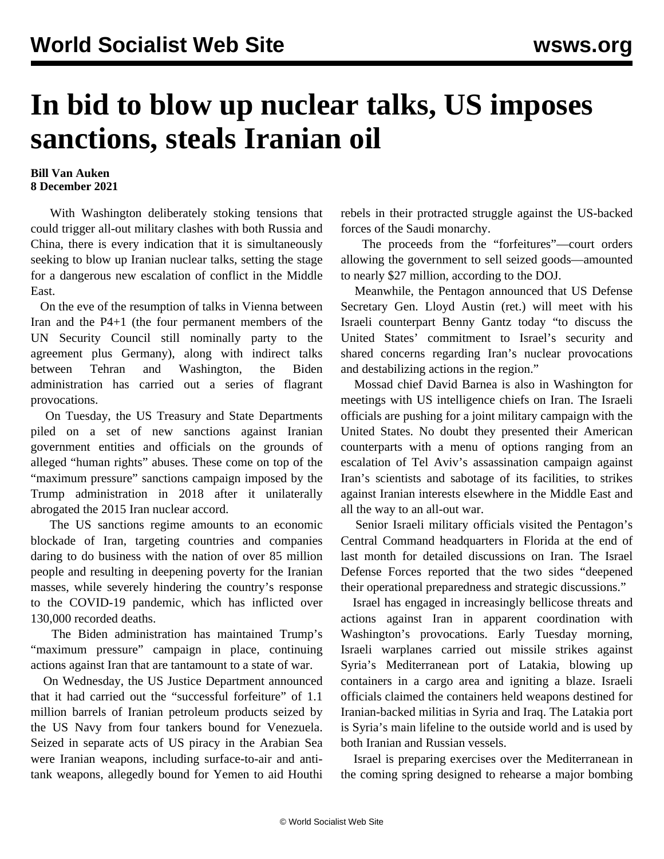## **In bid to blow up nuclear talks, US imposes sanctions, steals Iranian oil**

## **Bill Van Auken 8 December 2021**

 With Washington deliberately stoking tensions that could trigger all-out military clashes with both Russia and China, there is every indication that it is simultaneously seeking to blow up Iranian nuclear talks, setting the stage for a dangerous new escalation of conflict in the Middle East.

 On the eve of the resumption of talks in Vienna between Iran and the P4+1 (the four permanent members of the UN Security Council still nominally party to the agreement plus Germany), along with indirect talks between Tehran and Washington, the Biden administration has carried out a series of flagrant provocations.

 On Tuesday, the US Treasury and State Departments piled on a set of new sanctions against Iranian government entities and officials on the grounds of alleged "human rights" abuses. These come on top of the "maximum pressure" sanctions campaign imposed by the Trump administration in 2018 after it unilaterally abrogated the 2015 Iran nuclear accord.

 The US sanctions regime amounts to an economic blockade of Iran, targeting countries and companies daring to do business with the nation of over 85 million people and resulting in deepening poverty for the Iranian masses, while severely hindering the country's response to the COVID-19 pandemic, which has inflicted over 130,000 recorded deaths.

 The Biden administration has maintained Trump's "maximum pressure" campaign in place, continuing actions against Iran that are tantamount to a state of war.

 On Wednesday, the US Justice Department announced that it had carried out the "successful forfeiture" of 1.1 million barrels of Iranian petroleum products seized by the US Navy from four tankers bound for Venezuela. Seized in separate acts of US piracy in the Arabian Sea were Iranian weapons, including surface-to-air and antitank weapons, allegedly bound for Yemen to aid Houthi

rebels in their protracted struggle against the US-backed forces of the Saudi monarchy.

 The proceeds from the "forfeitures"—court orders allowing the government to sell seized goods—amounted to nearly \$27 million, according to the DOJ.

 Meanwhile, the Pentagon announced that US Defense Secretary Gen. Lloyd Austin (ret.) will meet with his Israeli counterpart Benny Gantz today "to discuss the United States' commitment to Israel's security and shared concerns regarding Iran's nuclear provocations and destabilizing actions in the region."

 Mossad chief David Barnea is also in Washington for meetings with US intelligence chiefs on Iran. The Israeli officials are pushing for a joint military campaign with the United States. No doubt they presented their American counterparts with a menu of options ranging from an escalation of Tel Aviv's assassination campaign against Iran's scientists and sabotage of its facilities, to strikes against Iranian interests elsewhere in the Middle East and all the way to an all-out war.

 Senior Israeli military officials visited the Pentagon's Central Command headquarters in Florida at the end of last month for detailed discussions on Iran. The Israel Defense Forces reported that the two sides "deepened their operational preparedness and strategic discussions."

 Israel has engaged in increasingly bellicose threats and actions against Iran in apparent coordination with Washington's provocations. Early Tuesday morning, Israeli warplanes carried out missile strikes against Syria's Mediterranean port of Latakia, blowing up containers in a cargo area and igniting a blaze. Israeli officials claimed the containers held weapons destined for Iranian-backed militias in Syria and Iraq. The Latakia port is Syria's main lifeline to the outside world and is used by both Iranian and Russian vessels.

 Israel is preparing exercises over the Mediterranean in the coming spring designed to rehearse a major bombing